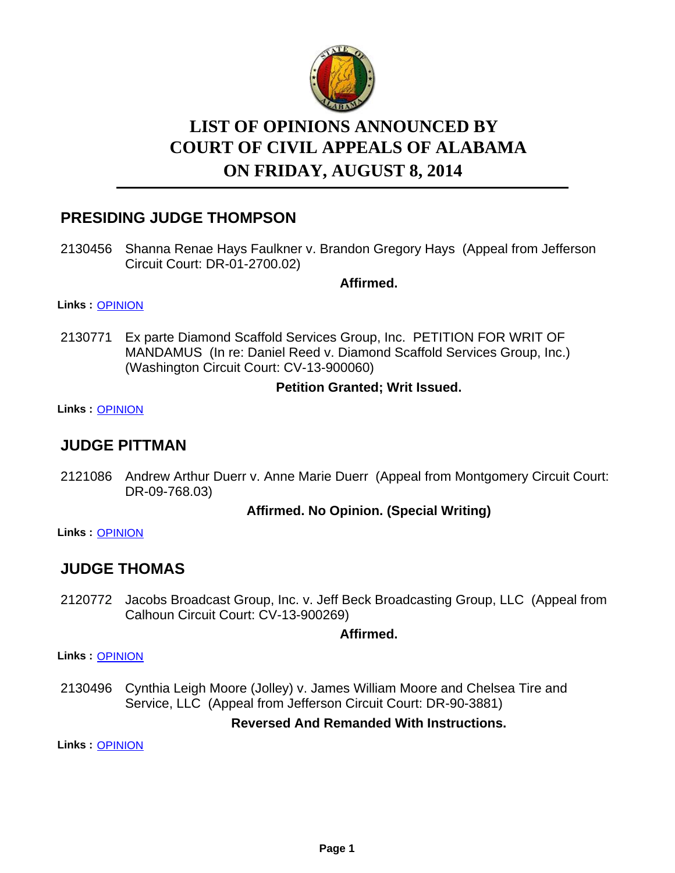

# **LIST OF OPINIONS ANNOUNCED BY ON FRIDAY, AUGUST 8, 2014 COURT OF CIVIL APPEALS OF ALABAMA**

## **PRESIDING JUDGE THOMPSON**

2130456 Shanna Renae Hays Faulkner v. Brandon Gregory Hays (Appeal from Jefferson Circuit Court: DR-01-2700.02)

**Affirmed.**

#### **Links :** [OPINION](https://acis.alabama.gov/displaydocs.cfm?no=596984&event=44U0KIWSJ)

2130771 Ex parte Diamond Scaffold Services Group, Inc. PETITION FOR WRIT OF MANDAMUS (In re: Daniel Reed v. Diamond Scaffold Services Group, Inc.) (Washington Circuit Court: CV-13-900060)

### **Petition Granted; Writ Issued.**

**Links :** [OPINION](https://acis.alabama.gov/displaydocs.cfm?no=596987&event=44U0KIXAR)

## **JUDGE PITTMAN**

2121086 Andrew Arthur Duerr v. Anne Marie Duerr (Appeal from Montgomery Circuit Court: DR-09-768.03)

## **Affirmed. No Opinion. (Special Writing)**

**Links :** [OPINION](https://acis.alabama.gov/displaydocs.cfm?no=596976&event=44U0KITDX)

## **JUDGE THOMAS**

2120772 Jacobs Broadcast Group, Inc. v. Jeff Beck Broadcasting Group, LLC (Appeal from Calhoun Circuit Court: CV-13-900269)

## **Affirmed.**

**Links :** [OPINION](https://acis.alabama.gov/displaydocs.cfm?no=596973&event=44U0KI9B5)

2130496 Cynthia Leigh Moore (Jolley) v. James William Moore and Chelsea Tire and Service, LLC (Appeal from Jefferson Circuit Court: DR-90-3881)

## **Reversed And Remanded With Instructions.**

**Links :** [OPINION](https://acis.alabama.gov/displaydocs.cfm?no=596985&event=44U0KIWYN)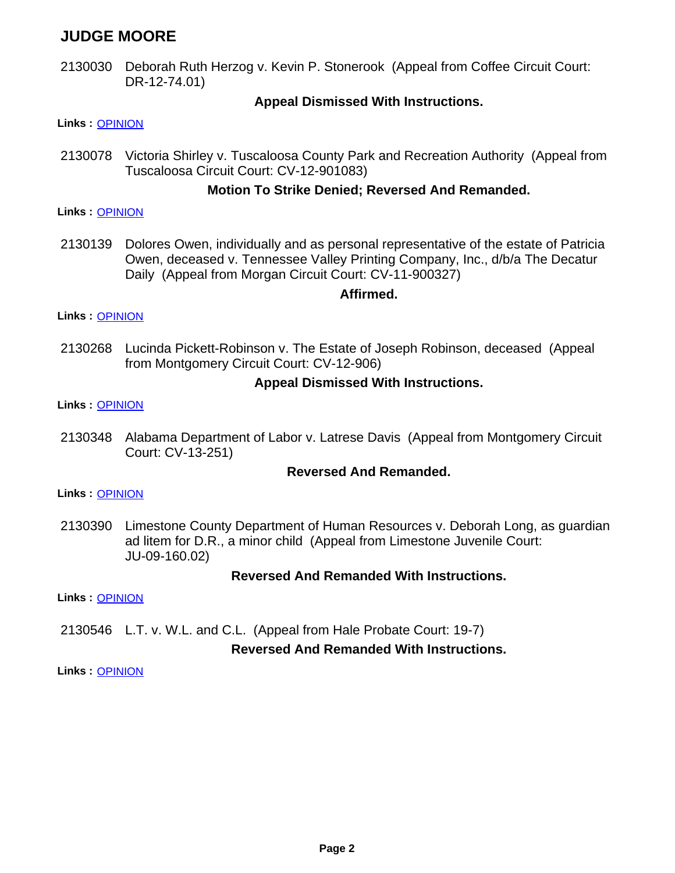## **JUDGE MOORE**

2130030 Deborah Ruth Herzog v. Kevin P. Stonerook (Appeal from Coffee Circuit Court: DR-12-74.01)

### **Appeal Dismissed With Instructions.**

#### **Links :** [OPINION](https://acis.alabama.gov/displaydocs.cfm?no=596977&event=44U0KIV87)

2130078 Victoria Shirley v. Tuscaloosa County Park and Recreation Authority (Appeal from Tuscaloosa Circuit Court: CV-12-901083)

### **Motion To Strike Denied; Reversed And Remanded.**

#### **Links :** [OPINION](https://acis.alabama.gov/displaydocs.cfm?no=596978&event=44U0KIVDU)

2130139 Dolores Owen, individually and as personal representative of the estate of Patricia Owen, deceased v. Tennessee Valley Printing Company, Inc., d/b/a The Decatur Daily (Appeal from Morgan Circuit Court: CV-11-900327)

#### **Affirmed.**

#### **Links :** [OPINION](https://acis.alabama.gov/displaydocs.cfm?no=596979&event=44U0KIVJH)

2130268 Lucinda Pickett-Robinson v. The Estate of Joseph Robinson, deceased (Appeal from Montgomery Circuit Court: CV-12-906)

#### **Appeal Dismissed With Instructions.**

#### **Links :** [OPINION](https://acis.alabama.gov/displaydocs.cfm?no=596981&event=44U0KIW9I)

2130348 Alabama Department of Labor v. Latrese Davis (Appeal from Montgomery Circuit Court: CV-13-251)

### **Reversed And Remanded.**

#### **Links :** [OPINION](https://acis.alabama.gov/displaydocs.cfm?no=596982&event=44U0KIWGF)

2130390 Limestone County Department of Human Resources v. Deborah Long, as guardian ad litem for D.R., a minor child (Appeal from Limestone Juvenile Court: JU-09-160.02)

### **Reversed And Remanded With Instructions.**

**Links :** [OPINION](https://acis.alabama.gov/displaydocs.cfm?no=596983&event=44U0KIWM2)

2130546 L.T. v. W.L. and C.L. (Appeal from Hale Probate Court: 19-7)

### **Reversed And Remanded With Instructions.**

**Links :** [OPINION](https://acis.alabama.gov/displaydocs.cfm?no=596986&event=44U0KIX54)